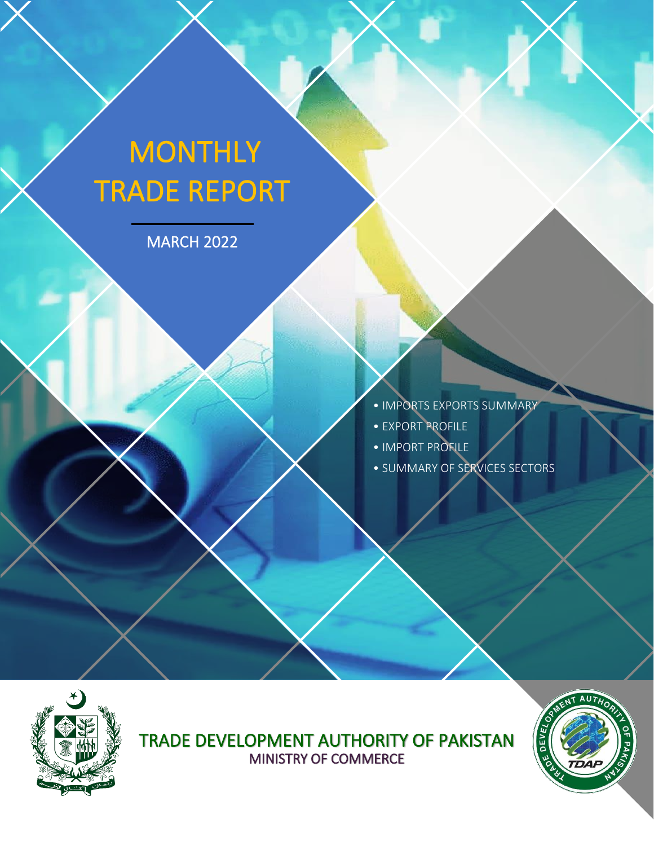# **MONTHLY** TRADE REPORT

MARCH 2022



- EXPORT PROFILE
- IMPORT PROFILE
- SUMMARY OF SERVICES SECTORS



ì

TRADE DEVELOPMENT AUTHORITY OF PAKISTAN MINISTRY OF COMMERCE

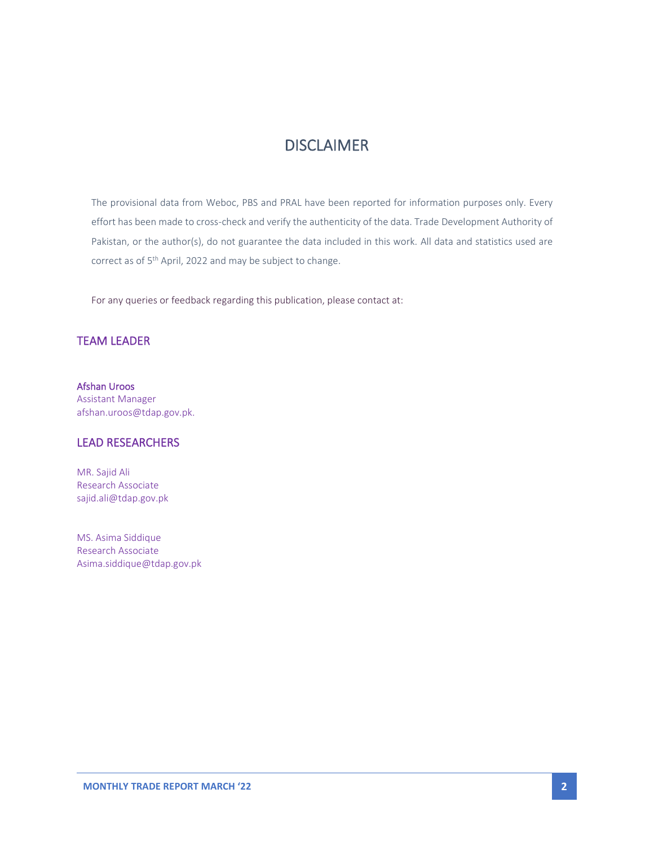# DISCLAIMER

The provisional data from Weboc, PBS and PRAL have been reported for information purposes only. Every effort has been made to cross-check and verify the authenticity of the data. Trade Development Authority of Pakistan, or the author(s), do not guarantee the data included in this work. All data and statistics used are correct as of 5<sup>th</sup> April, 2022 and may be subject to change.

For any queries or feedback regarding this publication, please contact at:

#### TEAM LEADER

Afshan Uroos Assistant Manager afshan.uroos@tdap.gov.pk.

#### LEAD RESEARCHERS

MR. Sajid Ali Research Associate sajid.ali@tdap.gov.pk

MS. Asima Siddique Research Associate Asima.siddique@tdap.gov.pk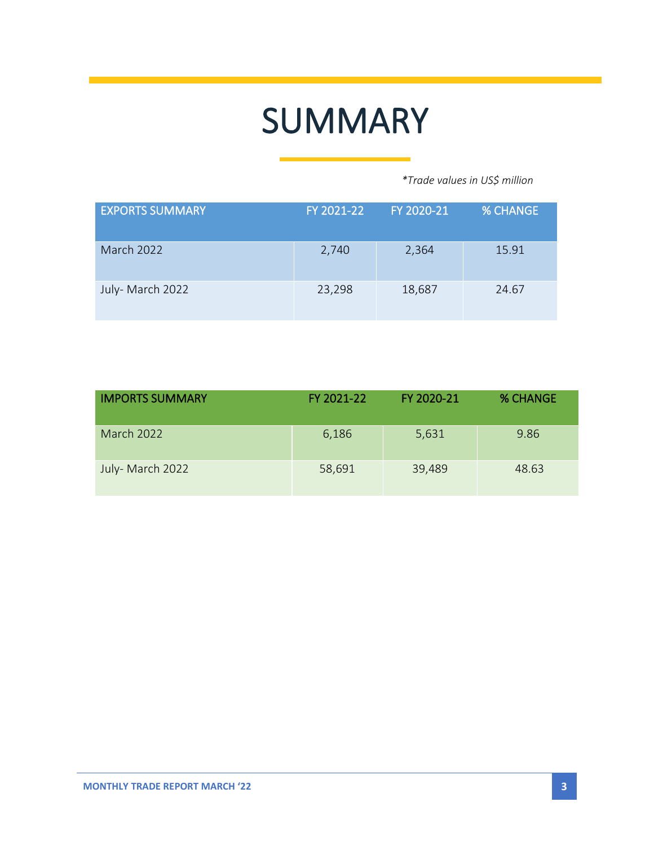# SUMMARY

 *\*Trade values in US\$ million*

| <b>EXPORTS SUMMARY</b> | FY 2021-22 | FY 2020-21 | <b>% CHANGE</b> |
|------------------------|------------|------------|-----------------|
| <b>March 2022</b>      | 2,740      | 2,364      | 15.91           |
| July- March 2022       | 23,298     | 18,687     | 24.67           |

| <b>IMPORTS SUMMARY</b> | FY 2021-22 | FY 2020-21 | <b>% CHANGE</b> |
|------------------------|------------|------------|-----------------|
| March 2022             | 6,186      | 5,631      | 9.86            |
| July- March 2022       | 58,691     | 39,489     | 48.63           |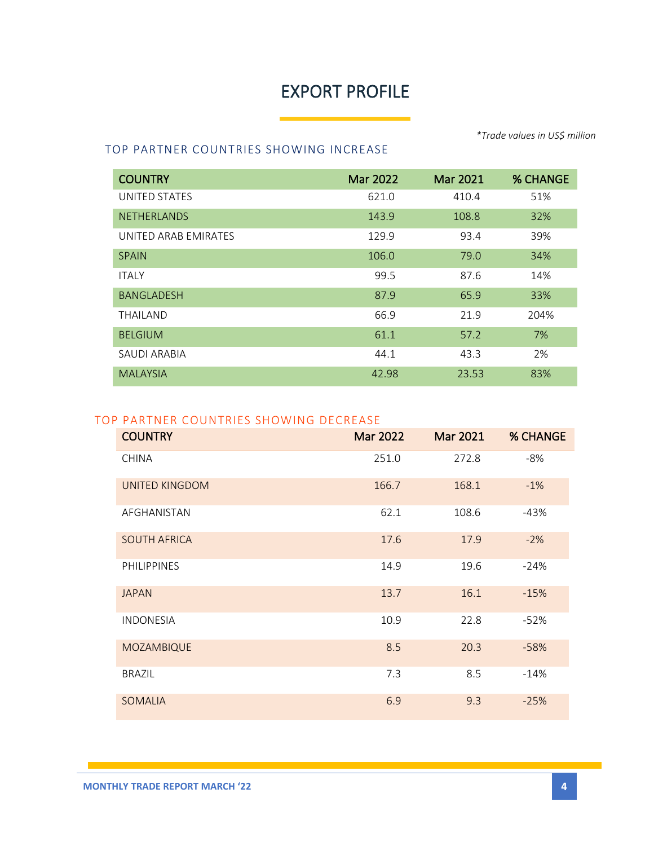# EXPORT PROFILE

*\*Trade values in US\$ million*

### TOP PARTNER COUNTRIES SHOWING INCREASE

| <b>COUNTRY</b>       | Mar 2022 | Mar 2021 | <b>% CHANGE</b> |
|----------------------|----------|----------|-----------------|
| UNITED STATES        | 621.0    | 410.4    | 51%             |
| <b>NETHERLANDS</b>   | 143.9    | 108.8    | 32%             |
| UNITED ARAB EMIRATES | 129.9    | 93.4     | 39%             |
| <b>SPAIN</b>         | 106.0    | 79.0     | 34%             |
| <b>ITALY</b>         | 99.5     | 87.6     | 14%             |
| <b>BANGLADESH</b>    | 87.9     | 65.9     | 33%             |
| <b>THAILAND</b>      | 66.9     | 21.9     | 204%            |
| <b>BELGIUM</b>       | 61.1     | 57.2     | 7%              |
| SAUDI ARABIA         | 44.1     | 43.3     | 2%              |
| <b>MALAYSIA</b>      | 42.98    | 23.53    | 83%             |

## TOP PARTNER COUNTRIES SHOWING DECREASE

| <b>COUNTRY</b>        | <b>Mar 2022</b> | <b>Mar 2021</b> | <b>% CHANGE</b> |
|-----------------------|-----------------|-----------------|-----------------|
| <b>CHINA</b>          | 251.0           | 272.8           | -8%             |
| <b>UNITED KINGDOM</b> | 166.7           | 168.1           | $-1%$           |
| AFGHANISTAN           | 62.1            | 108.6           | $-43%$          |
| <b>SOUTH AFRICA</b>   | 17.6            | 17.9            | $-2%$           |
| PHILIPPINES           | 14.9            | 19.6            | $-24%$          |
| <b>JAPAN</b>          | 13.7            | 16.1            | $-15%$          |
| <b>INDONESIA</b>      | 10.9            | 22.8            | $-52%$          |
| <b>MOZAMBIQUE</b>     | 8.5             | 20.3            | $-58%$          |
| <b>BRAZIL</b>         | 7.3             | 8.5             | $-14%$          |
| <b>SOMALIA</b>        | 6.9             | 9.3             | $-25%$          |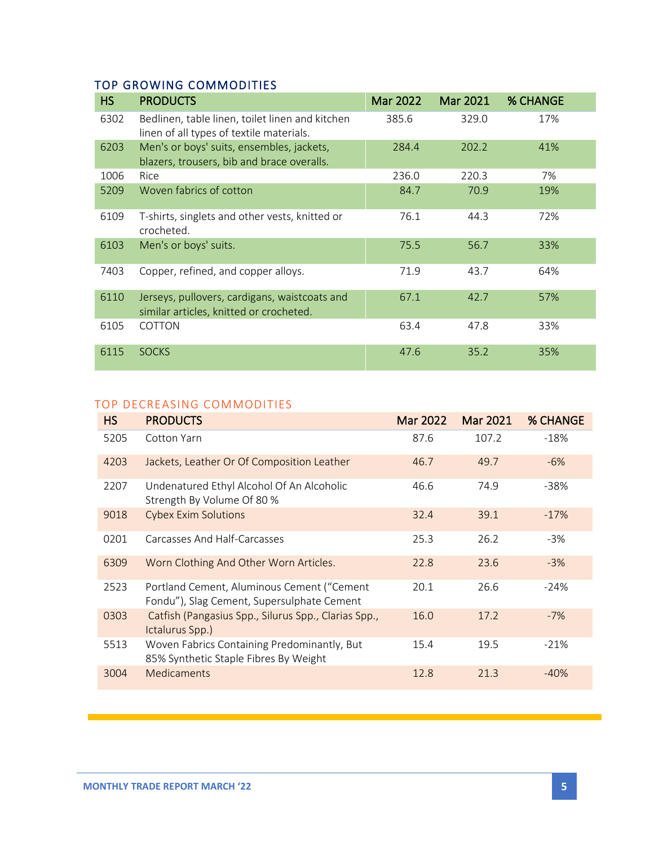# TOP GROWING COMMODITIES

| <b>HS</b> | <b>PRODUCTS</b>                                                                             | <b>Mar 2022</b> | Mar 2021 | <b>% CHANGE</b> |
|-----------|---------------------------------------------------------------------------------------------|-----------------|----------|-----------------|
| 6302      | Bedlinen, table linen, toilet linen and kitchen<br>linen of all types of textile materials. | 385.6           | 329.0    | 17%             |
| 6203      | Men's or boys' suits, ensembles, jackets,<br>blazers, trousers, bib and brace overalls.     | 284.4           | 202.2    | 41%             |
| 1006      | Rice                                                                                        | 236.0           | 220.3    | 7%              |
| 5209      | Woven fabrics of cotton                                                                     | 84.7            | 70.9     | 19%             |
| 6109      | T-shirts, singlets and other vests, knitted or<br>crocheted.                                | 76.1            | 44.3     | 72%             |
| 6103      | Men's or boys' suits.                                                                       | 75.5            | 56.7     | 33%             |
| 7403      | Copper, refined, and copper alloys.                                                         | 71.9            | 43.7     | 64%             |
| 6110      | Jerseys, pullovers, cardigans, waistcoats and<br>similar articles, knitted or crocheted.    | 67.1            | 42.7     | 57%             |
| 6105      | <b>COTTON</b>                                                                               | 63.4            | 47.8     | 33%             |
| 6115      | <b>SOCKS</b>                                                                                | 47.6            | 35.2     | 35%             |

#### TOP DECREASING COMMODITIES

| <b>HS</b> | <b>PRODUCTS</b>                                                                          | <b>Mar 2022</b> | <b>Mar 2021</b> | <b>% CHANGE</b> |
|-----------|------------------------------------------------------------------------------------------|-----------------|-----------------|-----------------|
| 5205      | Cotton Yarn                                                                              | 87.6            | 107.2           | $-18%$          |
| 4203      | Jackets, Leather Or Of Composition Leather                                               | 46.7            | 49.7            | $-6%$           |
| 2207      | Undenatured Ethyl Alcohol Of An Alcoholic<br>Strength By Volume Of 80 %                  | 46.6            | 74.9            | -38%            |
| 9018      | <b>Cybex Exim Solutions</b>                                                              | 32.4            | 39.1            | $-17%$          |
| 0201      | Carcasses And Half-Carcasses                                                             | 25.3            | 26.2            | $-3%$           |
| 6309      | Worn Clothing And Other Worn Articles.                                                   | 22.8            | 23.6            | $-3%$           |
| 2523      | Portland Cement, Aluminous Cement ("Cement<br>Fondu"), Slag Cement, Supersulphate Cement | 20.1            | 26.6            | $-24%$          |
| 0303      | Catfish (Pangasius Spp., Silurus Spp., Clarias Spp.,<br>Ictalurus Spp.)                  | 16.0            | 17.2            | $-7%$           |
| 5513      | Woven Fabrics Containing Predominantly, But<br>85% Synthetic Staple Fibres By Weight     | 15.4            | 19.5            | $-21%$          |
| 3004      | <b>Medicaments</b>                                                                       | 12.8            | 21.3            | $-40%$          |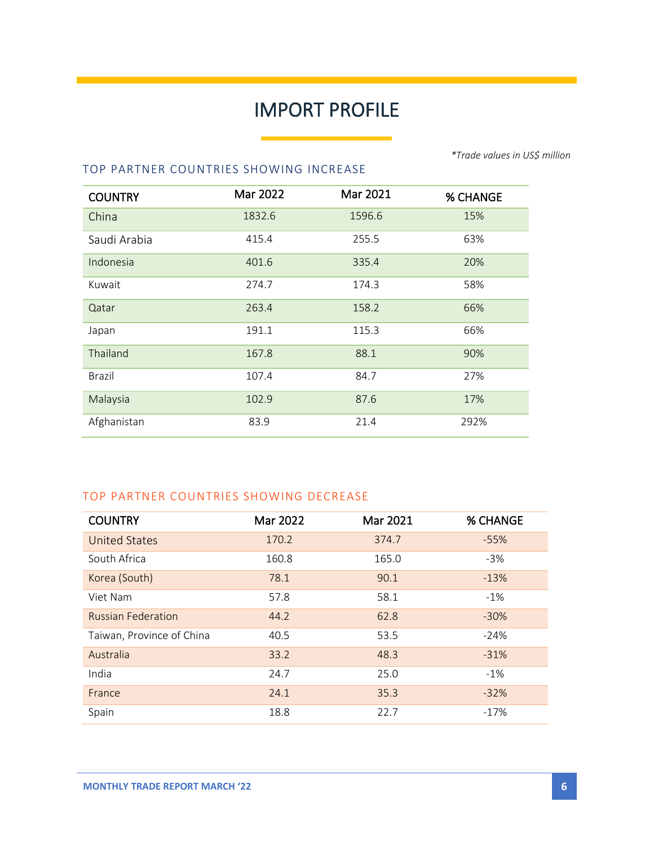# IMPORT PROFILE

۰

TOP PARTNER COUNTRIES SHOWING INCREASE

| <b>COUNTRY</b> | Mar 2022 | Mar 2021 | <b>% CHANGE</b> |
|----------------|----------|----------|-----------------|
| China          | 1832.6   | 1596.6   | 15%             |
| Saudi Arabia   | 415.4    | 255.5    | 63%             |
| Indonesia      | 401.6    | 335.4    | 20%             |
| Kuwait         | 274.7    | 174.3    | 58%             |
| Qatar          | 263.4    | 158.2    | 66%             |
| Japan          | 191.1    | 115.3    | 66%             |
| Thailand       | 167.8    | 88.1     | 90%             |
| <b>Brazil</b>  | 107.4    | 84.7     | 27%             |
| Malaysia       | 102.9    | 87.6     | 17%             |
| Afghanistan    | 83.9     | 21.4     | 292%            |

### TOP PARTNER COUNTRIES SHOWING DECREASE

| <b>COUNTRY</b>            | Mar 2022 | Mar 2021 | <b>% CHANGE</b> |
|---------------------------|----------|----------|-----------------|
| <b>United States</b>      | 170.2    | 374.7    | $-55%$          |
| South Africa              | 160.8    | 165.0    | $-3%$           |
| Korea (South)             | 78.1     | 90.1     | $-13%$          |
| Viet Nam                  | 57.8     | 58.1     | $-1%$           |
| <b>Russian Federation</b> | 44.2     | 62.8     | $-30%$          |
| Taiwan, Province of China | 40.5     | 53.5     | $-24%$          |
| Australia                 | 33.2     | 48.3     | $-31%$          |
| India                     | 24.7     | 25.0     | $-1\%$          |
| France                    | 24.1     | 35.3     | $-32%$          |
| Spain                     | 18.8     | 22.7     | $-17%$          |

*\*Trade values in US\$ million*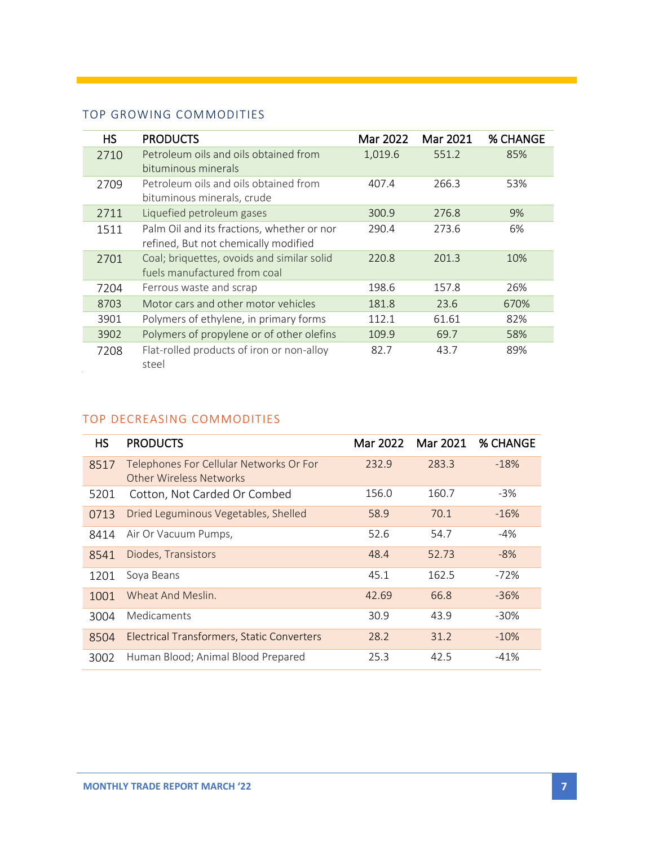## TOP GROWING COMMODITIES

| HS.  | <b>PRODUCTS</b>                            | Mar 2022 | Mar 2021 | % CHANGE |
|------|--------------------------------------------|----------|----------|----------|
| 2710 | Petroleum oils and oils obtained from      | 1,019.6  | 551.2    | 85%      |
|      | bituminous minerals                        |          |          |          |
| 2709 | Petroleum oils and oils obtained from      | 407.4    | 266.3    | 53%      |
|      | bituminous minerals, crude                 |          |          |          |
| 2711 | Liquefied petroleum gases                  | 300.9    | 276.8    | 9%       |
| 1511 | Palm Oil and its fractions, whether or nor | 290.4    | 273.6    | 6%       |
|      | refined, But not chemically modified       |          |          |          |
| 2701 | Coal; briquettes, ovoids and similar solid | 220.8    | 201.3    | 10%      |
|      | fuels manufactured from coal               |          |          |          |
| 7204 | Ferrous waste and scrap                    | 198.6    | 157.8    | 26%      |
| 8703 | Motor cars and other motor vehicles        | 181.8    | 23.6     | 670%     |
| 3901 | Polymers of ethylene, in primary forms     | 112.1    | 61.61    | 82%      |
| 3902 | Polymers of propylene or of other olefins  | 109.9    | 69.7     | 58%      |
| 7208 | Flat-rolled products of iron or non-alloy  | 82.7     | 43.7     | 89%      |
|      | steel                                      |          |          |          |

#### TOP DECREASING COMMODITIES

| <b>HS</b> | <b>PRODUCTS</b>                                                    | Mar 2022 | Mar 2021 | <b>% CHANGE</b> |
|-----------|--------------------------------------------------------------------|----------|----------|-----------------|
| 8517      | Telephones For Cellular Networks Or For<br>Other Wireless Networks | 232.9    | 283.3    | $-18%$          |
| 5201      | Cotton, Not Carded Or Combed                                       | 156.0    | 160.7    | $-3%$           |
| 0713      | Dried Leguminous Vegetables, Shelled                               | 58.9     | 70.1     | $-16%$          |
| 8414      | Air Or Vacuum Pumps,                                               | 52.6     | 54.7     | $-4%$           |
| 8541      | Diodes, Transistors                                                | 48.4     | 52.73    | $-8%$           |
| 1201      | Soya Beans                                                         | 45.1     | 162.5    | $-72%$          |
| 1001      | Wheat And Meslin.                                                  | 42.69    | 66.8     | $-36%$          |
| 3004      | Medicaments                                                        | 30.9     | 43.9     | $-30\%$         |
| 8504      | Electrical Transformers, Static Converters                         | 28.2     | 31.2     | $-10%$          |
| 3002      | Human Blood; Animal Blood Prepared                                 | 25.3     | 42.5     | $-41%$          |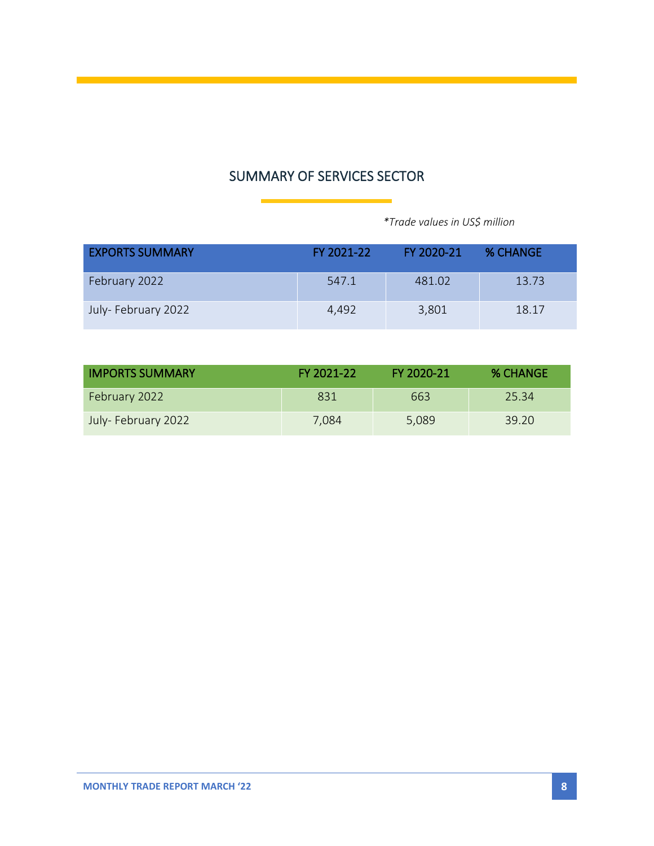# SUMMARY OF SERVICES SECTOR

 *\*Trade values in US\$ million*

| <b>EXPORTS SUMMARY</b> | FY 2021-22 | FY 2020-21 | <b>% CHANGE</b> |
|------------------------|------------|------------|-----------------|
| February 2022          | 547.1      | 481.02     | 13.73           |
| July-February 2022     | 4.492      | 3,801      | 18.17           |

| <b>IMPORTS SUMMARY</b> | FY 2021-22 | FY 2020-21 | <b>% CHANGE</b> |
|------------------------|------------|------------|-----------------|
| February 2022          | 831        | 663        | -25.34          |
| July-February 2022     | 7.084      | 5,089      | 39.20           |